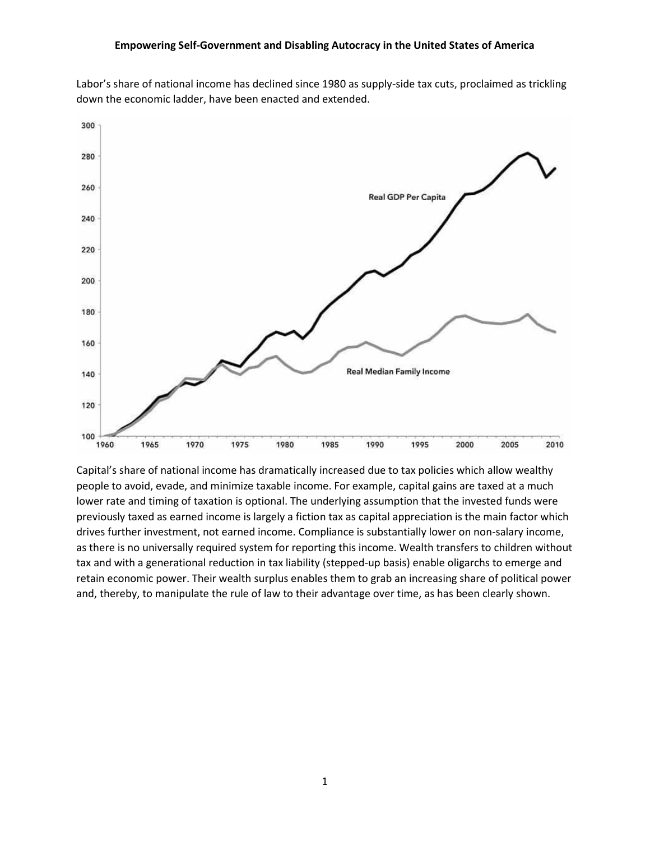

Labor's share of national income has declined since 1980 as supply-side tax cuts, proclaimed as trickling down the economic ladder, have been enacted and extended.

Capital's share of national income has dramatically increased due to tax policies which allow wealthy people to avoid, evade, and minimize taxable income. For example, capital gains are taxed at a much lower rate and timing of taxation is optional. The underlying assumption that the invested funds were previously taxed as earned income is largely a fiction tax as capital appreciation is the main factor which drives further investment, not earned income. Compliance is substantially lower on non-salary income, as there is no universally required system for reporting this income. Wealth transfers to children without tax and with a generational reduction in tax liability (stepped-up basis) enable oligarchs to emerge and retain economic power. Their wealth surplus enables them to grab an increasing share of political power and, thereby, to manipulate the rule of law to their advantage over time, as has been clearly shown.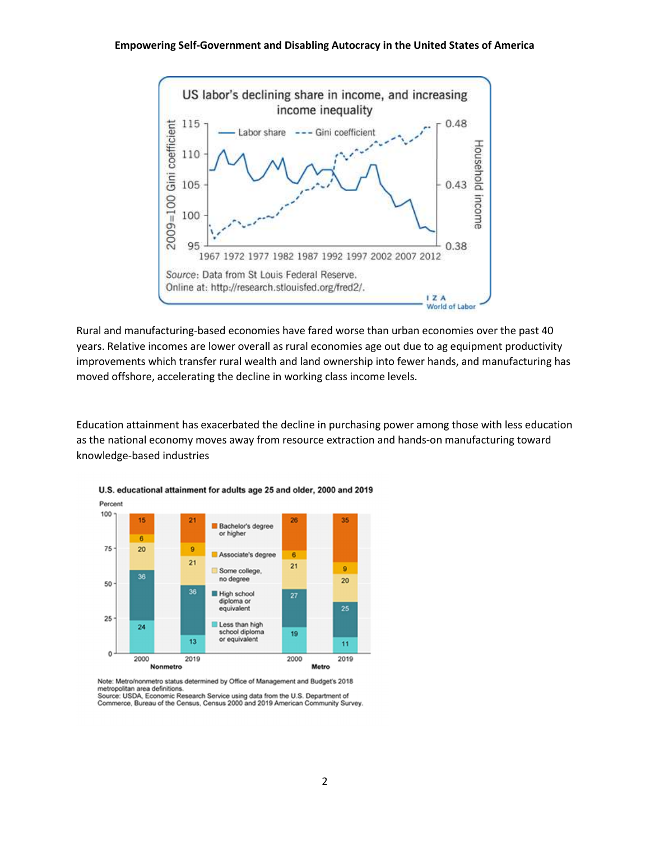

Rural and manufacturing-based economies have fared worse than urban economies over the past 40 years. Relative incomes are lower overall as rural economies age out due to ag equipment productivity improvements which transfer rural wealth and land ownership into fewer hands, and manufacturing has moved offshore, accelerating the decline in working class income levels.

Education attainment has exacerbated the decline in purchasing power among those with less education as the national economy moves away from resource extraction and hands-on manufacturing toward knowledge-based industries



U.S. educational attainment for adults age 25 and older, 2000 and 2019

Note: Metro/nonmetro status determined by Office of Management and Budget's 2018 metropolitan area definitions Source: USDA, Economic Research Service using data from the U.S. Department of

Commerce, Bureau of the Census, Census 2000 and 2019 American Community Survey.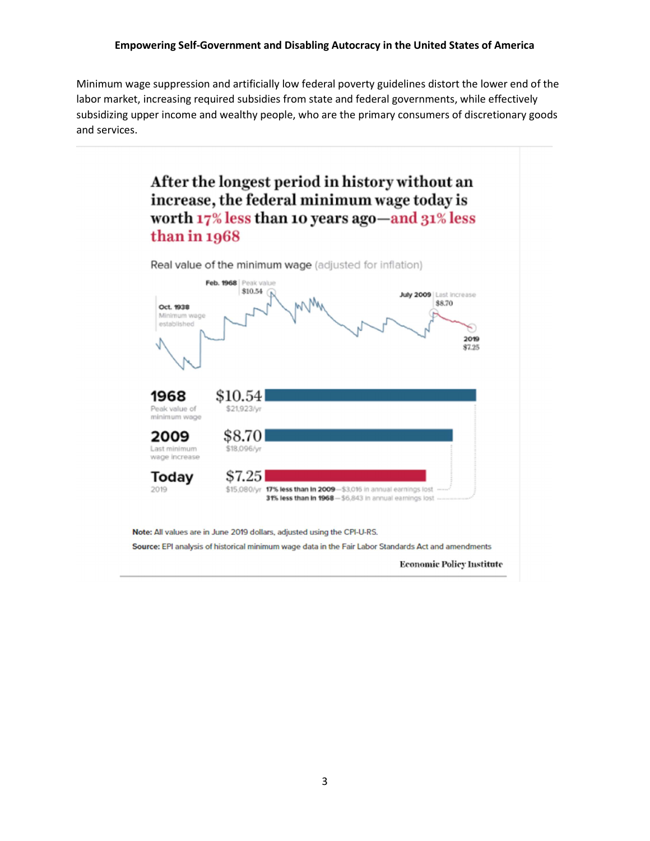Minimum wage suppression and artificially low federal poverty guidelines distort the lower end of the labor market, increasing required subsidies from state and federal governments, while effectively subsidizing upper income and wealthy people, who are the primary consumers of discretionary goods and services.



**Economic Policy Institute**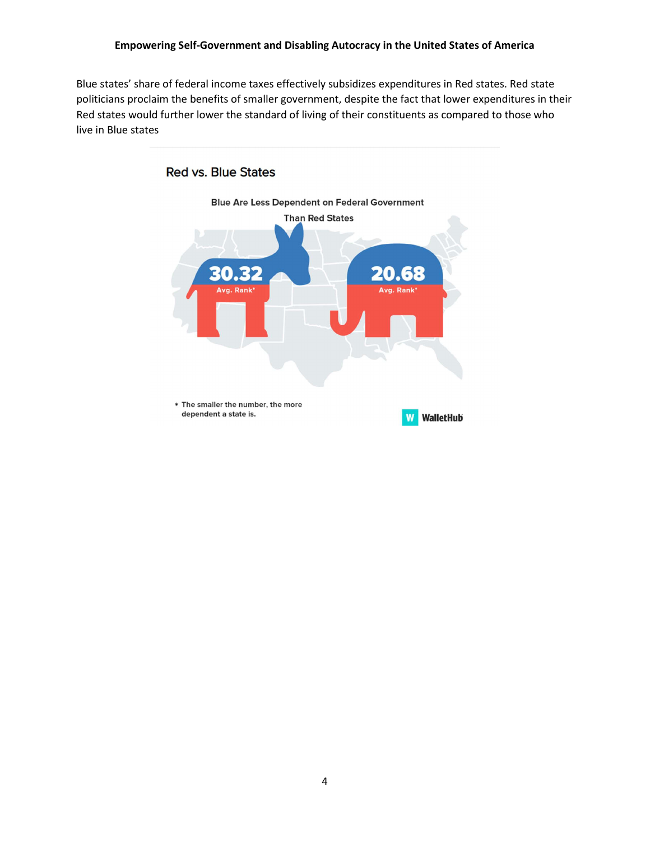Blue states' share of federal income taxes effectively subsidizes expenditures in Red states. Red state politicians proclaim the benefits of smaller government, despite the fact that lower expenditures in their Red states would further lower the standard of living of their constituents as compared to those who live in Blue states



4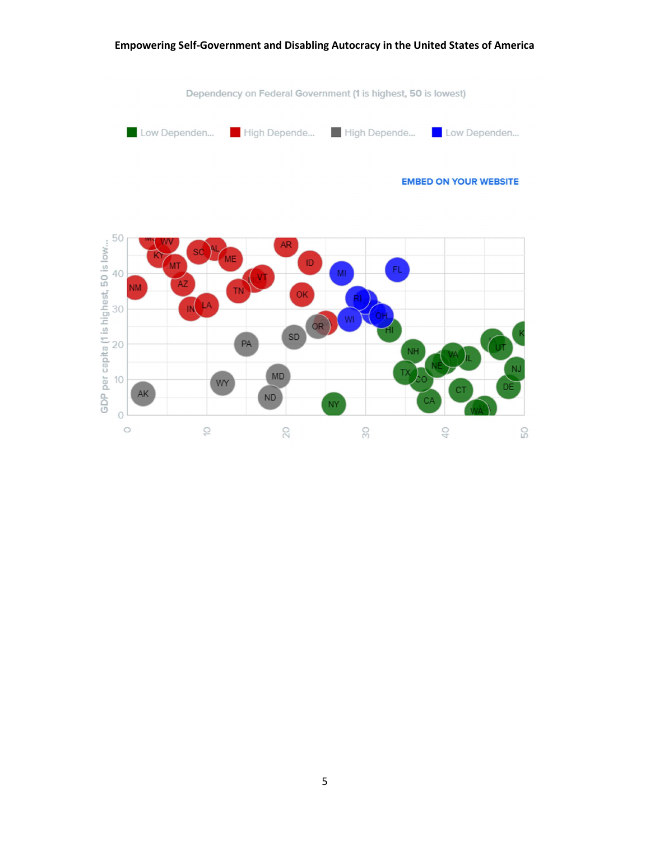#### Dependency on Federal Government (1 is highest, 50 is lowest) High Depende... High Depende... Low Dependen... Low Dependen... **EMBED ON YOUR WEBSITE** 50 GDP per capita (1 is highest, 50 is low... AR ID FL 40 MI ŔI 30 WI OR SD  $20$ PA NH MD  $10$ WY AK  $\sf ND$ NY  $\circlearrowright$  $\ominus$  $\overline{0}$  $\circ$  $\gtrsim$ SO. 50

Empowering Self-Government and Disabling Autocracy in the United States of America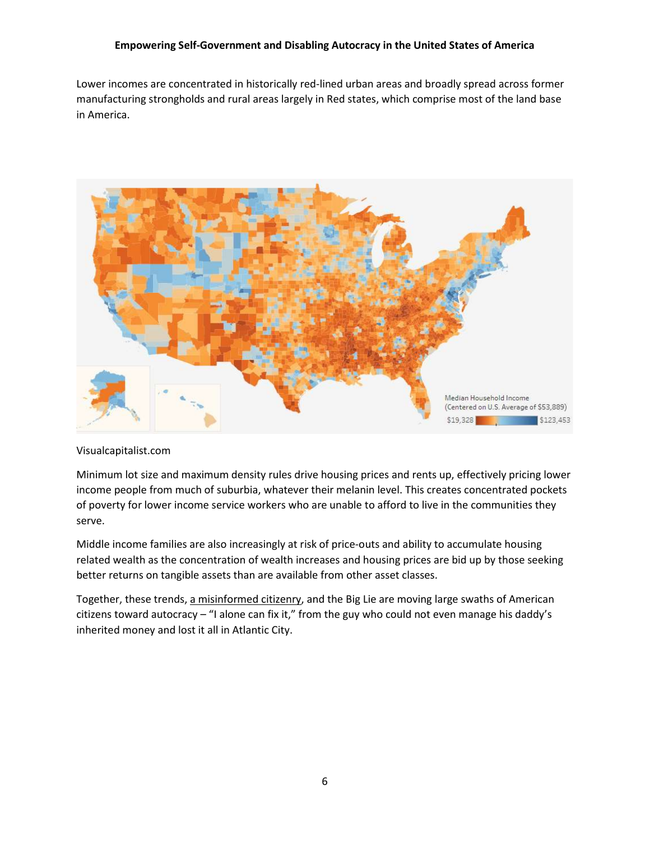Lower incomes are concentrated in historically red-lined urban areas and broadly spread across former manufacturing strongholds and rural areas largely in Red states, which comprise most of the land base in America.



### Visualcapitalist.com

Minimum lot size and maximum density rules drive housing prices and rents up, effectively pricing lower income people from much of suburbia, whatever their melanin level. This creates concentrated pockets of poverty for lower income service workers who are unable to afford to live in the communities they serve.

Middle income families are also increasingly at risk of price-outs and ability to accumulate housing related wealth as the concentration of wealth increases and housing prices are bid up by those seeking better returns on tangible assets than are available from other asset classes.

Together, these trends, a misinformed citizenry, and the Big Lie are moving large swaths of American citizens toward autocracy – "I alone can fix it," from the guy who could not even manage his daddy's inherited money and lost it all in Atlantic City.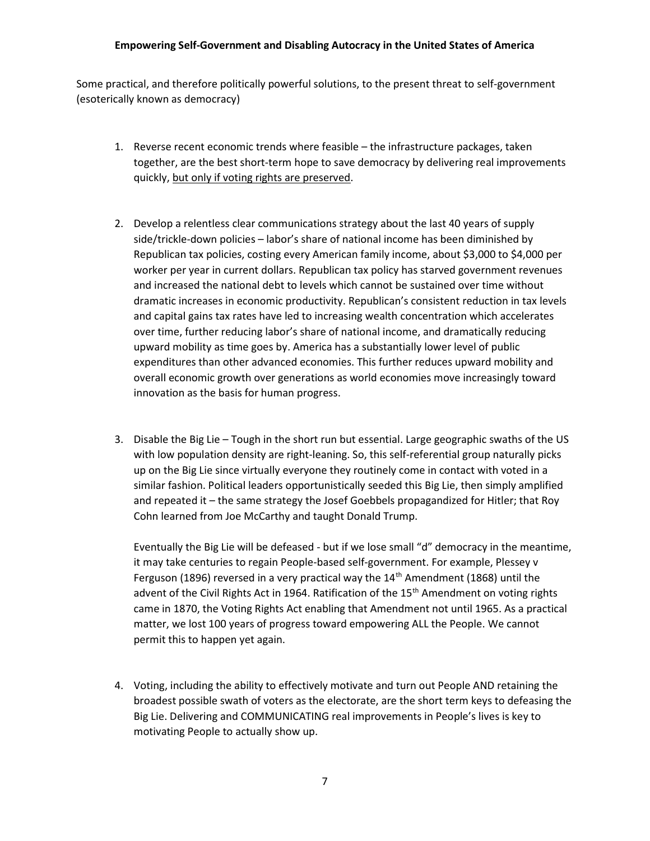Some practical, and therefore politically powerful solutions, to the present threat to self-government (esoterically known as democracy)

- 1. Reverse recent economic trends where feasible the infrastructure packages, taken together, are the best short-term hope to save democracy by delivering real improvements quickly, but only if voting rights are preserved.
- 2. Develop a relentless clear communications strategy about the last 40 years of supply side/trickle-down policies – labor's share of national income has been diminished by Republican tax policies, costing every American family income, about \$3,000 to \$4,000 per worker per year in current dollars. Republican tax policy has starved government revenues and increased the national debt to levels which cannot be sustained over time without dramatic increases in economic productivity. Republican's consistent reduction in tax levels and capital gains tax rates have led to increasing wealth concentration which accelerates over time, further reducing labor's share of national income, and dramatically reducing upward mobility as time goes by. America has a substantially lower level of public expenditures than other advanced economies. This further reduces upward mobility and overall economic growth over generations as world economies move increasingly toward innovation as the basis for human progress.
- 3. Disable the Big Lie Tough in the short run but essential. Large geographic swaths of the US with low population density are right-leaning. So, this self-referential group naturally picks up on the Big Lie since virtually everyone they routinely come in contact with voted in a similar fashion. Political leaders opportunistically seeded this Big Lie, then simply amplified and repeated it – the same strategy the Josef Goebbels propagandized for Hitler; that Roy Cohn learned from Joe McCarthy and taught Donald Trump.

Eventually the Big Lie will be defeased - but if we lose small "d" democracy in the meantime, it may take centuries to regain People-based self-government. For example, Plessey v Ferguson (1896) reversed in a very practical way the  $14<sup>th</sup>$  Amendment (1868) until the advent of the Civil Rights Act in 1964. Ratification of the 15<sup>th</sup> Amendment on voting rights came in 1870, the Voting Rights Act enabling that Amendment not until 1965. As a practical matter, we lost 100 years of progress toward empowering ALL the People. We cannot permit this to happen yet again.

4. Voting, including the ability to effectively motivate and turn out People AND retaining the broadest possible swath of voters as the electorate, are the short term keys to defeasing the Big Lie. Delivering and COMMUNICATING real improvements in People's lives is key to motivating People to actually show up.